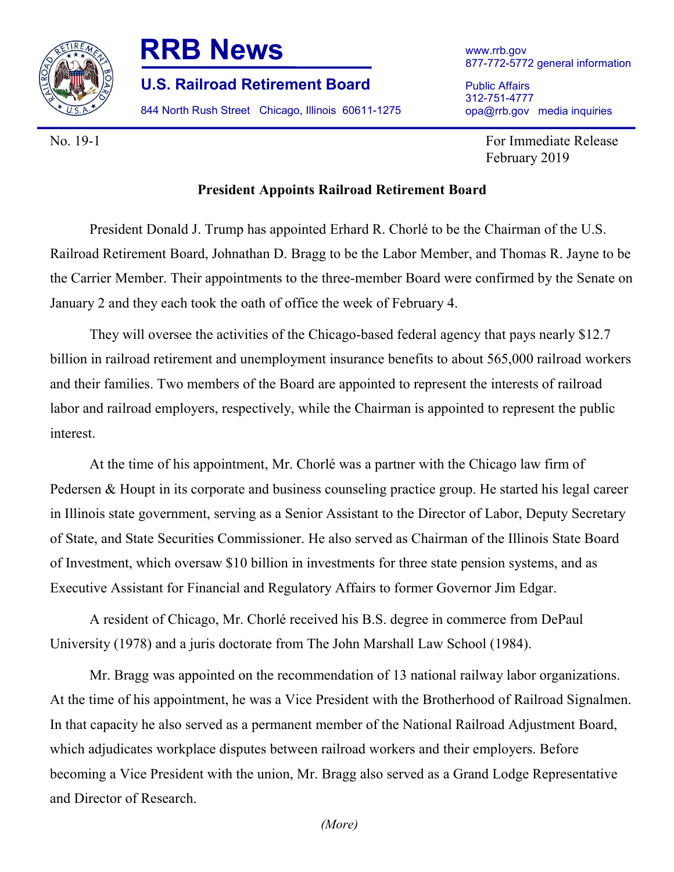

## **RRB News**

**U.S. Railroad Retirement Board**

844 North Rush Street Chicago, Illinois 60611-1275

www.rrb.gov 877-772-5772 general information

Public Affairs 312-751-4777 opa@rrb.gov media inquiries

No. 19-1 For Immediate Release February 2019

## **President Appoints Railroad Retirement Board**

President Donald J. Trump has appointed Erhard R. Chorlé to be the Chairman of the U.S. Railroad Retirement Board, Johnathan D. Bragg to be the Labor Member, and Thomas R. Jayne to be the Carrier Member. Their appointments to the three-member Board were confirmed by the Senate on January 2 and they each took the oath of office the week of February 4.

They will oversee the activities of the Chicago-based federal agency that pays nearly \$12.7 billion in railroad retirement and unemployment insurance benefits to about 565,000 railroad workers and their families. Two members of the Board are appointed to represent the interests of railroad labor and railroad employers, respectively, while the Chairman is appointed to represent the public interest.

At the time of his appointment, Mr. Chorlé was a partner with the Chicago law firm of Pedersen & Houpt in its corporate and business counseling practice group. He started his legal career in Illinois state government, serving as a Senior Assistant to the Director of Labor, Deputy Secretary of State, and State Securities Commissioner. He also served as Chairman of the Illinois State Board of Investment, which oversaw \$10 billion in investments for three state pension systems, and as Executive Assistant for Financial and Regulatory Affairs to former Governor Jim Edgar.

A resident of Chicago, Mr. Chorlé received his B.S. degree in commerce from DePaul University (1978) and a juris doctorate from The John Marshall Law School (1984).

Mr. Bragg was appointed on the recommendation of 13 national railway labor organizations. At the time of his appointment, he was a Vice President with the Brotherhood of Railroad Signalmen. In that capacity he also served as a permanent member of the National Railroad Adjustment Board, which adjudicates workplace disputes between railroad workers and their employers. Before becoming a Vice President with the union, Mr. Bragg also served as a Grand Lodge Representative and Director of Research.